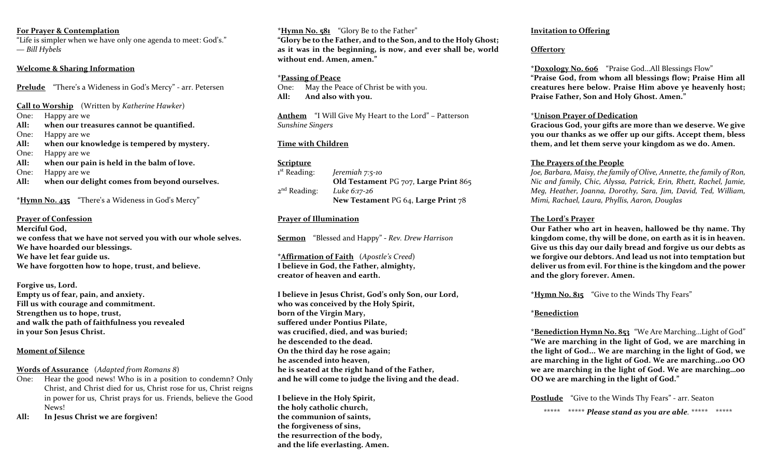#### **For Prayer & Contemplation**

"Life is simpler when we have only one agenda to meet: God's." ― *Bill Hybels*

## **Welcome & Sharing Information**

**Prelude** "There's a Wideness in God's Mercy" - arr. Petersen

**Call to Worship** (Written by *Katherine Hawker*)

- One: Happy are we
- **All: when our treasures cannot be quantified.**
- One: Happy are we

**All: when our knowledge is tempered by mystery.**

One: Happy are we

**All: when our pain is held in the balm of love.**

- One: Happy are we
- **All: when our delight comes from beyond ourselves.**

**\*Hymn No. 435** "There's a Wideness in God's Mercy"

#### **Prayer of Confession**

**Merciful God, we confess that we have not served you with our whole selves. We have hoarded our blessings. We have let fear guide us. We have forgotten how to hope, trust, and believe.** 

#### **Forgive us, Lord. Empty us of fear, pain, and anxiety. Fill us with courage and commitment. Strengthen us to hope, trust, and walk the path of faithfulness you revealed in your Son Jesus Christ.**

#### **Moment of Silence**

# **Words of Assurance** (*Adapted from Romans 8*)

- One: Hear the good news! Who is in a position to condemn? Only Christ, and Christ died for us, Christ rose for us, Christ reigns in power for us, Christ prays for us. Friends, believe the Good News!
- **All: In Jesus Christ we are forgiven!**

# **\*Hymn No. 581** "Glory Be to the Father" **"Glory be to the Father, and to the Son, and to the Holy Ghost; as it was in the beginning, is now, and ever shall be, world without end. Amen, amen."**

### **\*Passing of Peace**

One: May the Peace of Christ be with you. **All: And also with you.** 

**Anthem** "I Will Give My Heart to the Lord" – Patterson *Sunshine Singers*

# **Time with Children**

## **Scripture**

1<sup>st</sup> Reading: *Jeremiah 7:5-10* **Old Testament** PG 707, **Large Print** 865 2 nd Reading: *Luke 6:17-26* **New Testament** PG 64, **Large Print** 78

# **Prayer of Illumination**

**Sermon** "Blessed and Happy" **-** *Rev. Drew Harrison*

**\*Affirmation of Faith** (*Apostle's Creed*) **I believe in God, the Father, almighty, creator of heaven and earth.**

**I believe in Jesus Christ, God's only Son, our Lord, who was conceived by the Holy Spirit, born of the Virgin Mary, suffered under Pontius Pilate, was crucified, died, and was buried; he descended to the dead. On the third day he rose again; he ascended into heaven, he is seated at the right hand of the Father, and he will come to judge the living and the dead.**

**I believe in the Holy Spirit, the holy catholic church, the communion of saints, the forgiveness of sins, the resurrection of the body, and the life everlasting. Amen.**

### **Invitation to Offering**

# **Offertory**

**\*Doxology No. 606** "Praise God…All Blessings Flow"

**"Praise God, from whom all blessings flow; Praise Him all creatures here below. Praise Him above ye heavenly host; Praise Father, Son and Holy Ghost. Amen."**

# \***Unison Prayer of Dedication**

**Gracious God, your gifts are more than we deserve. We give you our thanks as we offer up our gifts. Accept them, bless them, and let them serve your kingdom as we do. Amen.** 

# **The Prayers of the People**

*Joe, Barbara, Maisy, the family of Olive, Annette, the family of Ron, Nic and family, Chic, Alyssa, Patrick, Erin, Rhett, Rachel, Jamie, Meg, Heather, Joanna, Dorothy, Sara, Jim, David, Ted, William, Mimi, Rachael, Laura, Phyllis, Aaron, Douglas* 

# **The Lord's Prayer**

**Our Father who art in heaven, hallowed be thy name. Thy kingdom come, thy will be done, on earth as it is in heaven. Give us this day our daily bread and forgive us our debts as we forgive our debtors. And lead us not into temptation but deliver us from evil. For thine is the kingdom and the power and the glory forever. Amen.**

**\*Hymn No. 815** "Give to the Winds Thy Fears"

# **\*Benediction**

**\*Benediction Hymn No. 853** "We Are Marching…Light of God" **"We are marching in the light of God, we are marching in the light of God... We are marching in the light of God, we are marching in the light of God. We are marching…oo OO we are marching in the light of God. We are marching…oo OO we are marching in the light of God."**

**Postlude** "Give to the Winds Thy Fears" - arr. Seaton

\*\*\*\*\* \*\*\*\*\* *Please stand as you are able.* \*\*\*\*\* \*\*\*\*\*